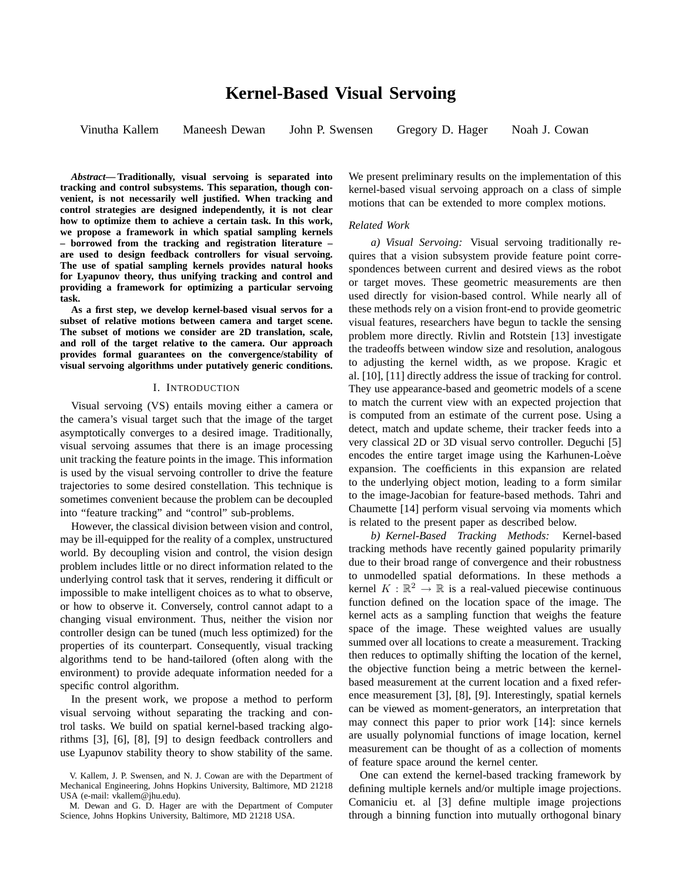# **Kernel-Based Visual Servoing**

Vinutha Kallem Maneesh Dewan John P. Swensen Gregory D. Hager Noah J. Cowan

*Abstract***— Traditionally, visual servoing is separated into tracking and control subsystems. This separation, though convenient, is not necessarily well justified. When tracking and control strategies are designed independently, it is not clear how to optimize them to achieve a certain task. In this work, we propose a framework in which spatial sampling kernels – borrowed from the tracking and registration literature – are used to design feedback controllers for visual servoing. The use of spatial sampling kernels provides natural hooks for Lyapunov theory, thus unifying tracking and control and providing a framework for optimizing a particular servoing task.**

**As a first step, we develop kernel-based visual servos for a subset of relative motions between camera and target scene. The subset of motions we consider are 2D translation, scale, and roll of the target relative to the camera. Our approach provides formal guarantees on the convergence/stability of visual servoing algorithms under putatively generic conditions.**

### I. INTRODUCTION

Visual servoing (VS) entails moving either a camera or the camera's visual target such that the image of the target asymptotically converges to a desired image. Traditionally, visual servoing assumes that there is an image processing unit tracking the feature points in the image. This information is used by the visual servoing controller to drive the feature trajectories to some desired constellation. This technique is sometimes convenient because the problem can be decoupled into "feature tracking" and "control" sub-problems.

However, the classical division between vision and control, may be ill-equipped for the reality of a complex, unstructured world. By decoupling vision and control, the vision design problem includes little or no direct information related to the underlying control task that it serves, rendering it difficult or impossible to make intelligent choices as to what to observe, or how to observe it. Conversely, control cannot adapt to a changing visual environment. Thus, neither the vision nor controller design can be tuned (much less optimized) for the properties of its counterpart. Consequently, visual tracking algorithms tend to be hand-tailored (often along with the environment) to provide adequate information needed for a specific control algorithm.

In the present work, we propose a method to perform visual servoing without separating the tracking and control tasks. We build on spatial kernel-based tracking algorithms [3], [6], [8], [9] to design feedback controllers and use Lyapunov stability theory to show stability of the same.

We present preliminary results on the implementation of this kernel-based visual servoing approach on a class of simple motions that can be extended to more complex motions.

#### *Related Work*

*a) Visual Servoing:* Visual servoing traditionally requires that a vision subsystem provide feature point correspondences between current and desired views as the robot or target moves. These geometric measurements are then used directly for vision-based control. While nearly all of these methods rely on a vision front-end to provide geometric visual features, researchers have begun to tackle the sensing problem more directly. Rivlin and Rotstein [13] investigate the tradeoffs between window size and resolution, analogous to adjusting the kernel width, as we propose. Kragic et al. [10], [11] directly address the issue of tracking for control. They use appearance-based and geometric models of a scene to match the current view with an expected projection that is computed from an estimate of the current pose. Using a detect, match and update scheme, their tracker feeds into a very classical 2D or 3D visual servo controller. Deguchi [5] encodes the entire target image using the Karhunen-Loève expansion. The coefficients in this expansion are related to the underlying object motion, leading to a form similar to the image-Jacobian for feature-based methods. Tahri and Chaumette [14] perform visual servoing via moments which is related to the present paper as described below.

*b) Kernel-Based Tracking Methods:* Kernel-based tracking methods have recently gained popularity primarily due to their broad range of convergence and their robustness to unmodelled spatial deformations. In these methods a kernel  $K : \mathbb{R}^2 \to \mathbb{R}$  is a real-valued piecewise continuous function defined on the location space of the image. The kernel acts as a sampling function that weighs the feature space of the image. These weighted values are usually summed over all locations to create a measurement. Tracking then reduces to optimally shifting the location of the kernel, the objective function being a metric between the kernelbased measurement at the current location and a fixed reference measurement [3], [8], [9]. Interestingly, spatial kernels can be viewed as moment-generators, an interpretation that may connect this paper to prior work [14]: since kernels are usually polynomial functions of image location, kernel measurement can be thought of as a collection of moments of feature space around the kernel center.

One can extend the kernel-based tracking framework by defining multiple kernels and/or multiple image projections. Comaniciu et. al [3] define multiple image projections through a binning function into mutually orthogonal binary

V. Kallem, J. P. Swensen, and N. J. Cowan are with the Department of Mechanical Engineering, Johns Hopkins University, Baltimore, MD 21218 USA (e-mail: vkallem@jhu.edu).

M. Dewan and G. D. Hager are with the Department of Computer Science, Johns Hopkins University, Baltimore, MD 21218 USA.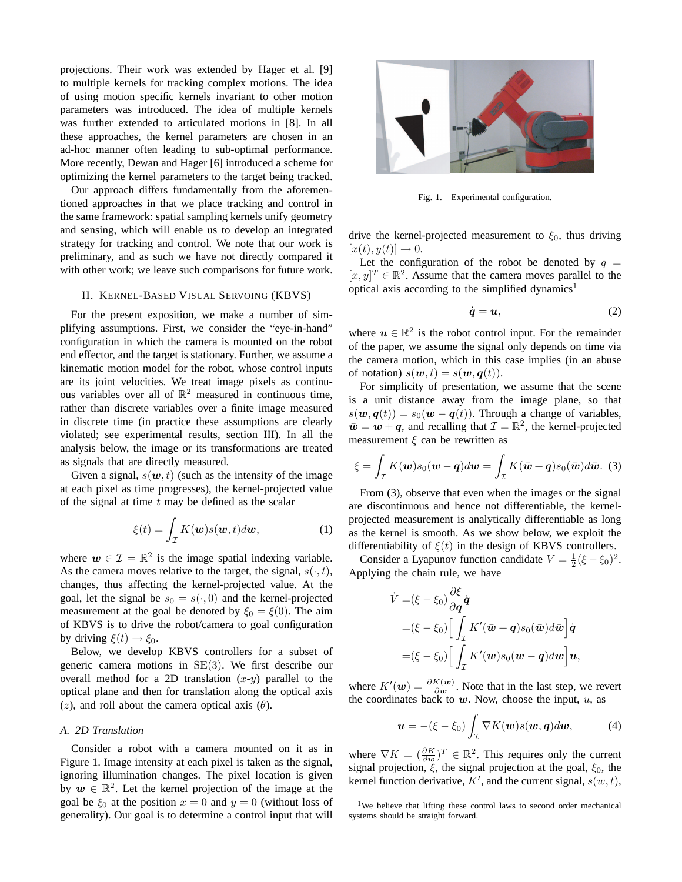projections. Their work was extended by Hager et al. [9] to multiple kernels for tracking complex motions. The idea of using motion specific kernels invariant to other motion parameters was introduced. The idea of multiple kernels was further extended to articulated motions in [8]. In all these approaches, the kernel parameters are chosen in an ad-hoc manner often leading to sub-optimal performance. More recently, Dewan and Hager [6] introduced a scheme for optimizing the kernel parameters to the target being tracked.

Our approach differs fundamentally from the aforementioned approaches in that we place tracking and control in the same framework: spatial sampling kernels unify geometry and sensing, which will enable us to develop an integrated strategy for tracking and control. We note that our work is preliminary, and as such we have not directly compared it with other work; we leave such comparisons for future work.

#### II. KERNEL-BASED VISUAL SERVOING (KBVS)

For the present exposition, we make a number of simplifying assumptions. First, we consider the "eye-in-hand" configuration in which the camera is mounted on the robot end effector, and the target is stationary. Further, we assume a kinematic motion model for the robot, whose control inputs are its joint velocities. We treat image pixels as continuous variables over all of  $\mathbb{R}^2$  measured in continuous time, rather than discrete variables over a finite image measured in discrete time (in practice these assumptions are clearly violated; see experimental results, section III). In all the analysis below, the image or its transformations are treated as signals that are directly measured.

Given a signal,  $s(w, t)$  (such as the intensity of the image at each pixel as time progresses), the kernel-projected value of the signal at time  $t$  may be defined as the scalar

$$
\xi(t) = \int_{\mathcal{I}} K(\boldsymbol{w}) s(\boldsymbol{w}, t) d\boldsymbol{w}, \tag{1}
$$

where  $w \in \mathcal{I} = \mathbb{R}^2$  is the image spatial indexing variable. As the camera moves relative to the target, the signal,  $s(\cdot, t)$ , changes, thus affecting the kernel-projected value. At the goal, let the signal be  $s_0 = s(\cdot, 0)$  and the kernel-projected measurement at the goal be denoted by  $\xi_0 = \xi(0)$ . The aim of KBVS is to drive the robot/camera to goal configuration by driving  $\xi(t) \rightarrow \xi_0$ .

Below, we develop KBVS controllers for a subset of generic camera motions in SE(3). We first describe our overall method for a 2D translation  $(x-y)$  parallel to the optical plane and then for translation along the optical axis (z), and roll about the camera optical axis  $(\theta)$ .

#### *A. 2D Translation*

Consider a robot with a camera mounted on it as in Figure 1. Image intensity at each pixel is taken as the signal, ignoring illumination changes. The pixel location is given by  $w \in \mathbb{R}^2$ . Let the kernel projection of the image at the goal be  $\xi_0$  at the position  $x = 0$  and  $y = 0$  (without loss of generality). Our goal is to determine a control input that will



Fig. 1. Experimental configuration.

drive the kernel-projected measurement to  $\xi_0$ , thus driving  $[x(t), y(t)] \rightarrow 0.$ 

Let the configuration of the robot be denoted by  $q =$  $[x, y]^T \in \mathbb{R}^2$ . Assume that the camera moves parallel to the optical axis according to the simplified dynamics<sup>1</sup>

$$
\dot{\boldsymbol{q}} = \boldsymbol{u},\tag{2}
$$

where  $u \in \mathbb{R}^2$  is the robot control input. For the remainder of the paper, we assume the signal only depends on time via the camera motion, which in this case implies (in an abuse of notation)  $s(\mathbf{w}, t) = s(\mathbf{w}, \mathbf{q}(t)).$ 

For simplicity of presentation, we assume that the scene is a unit distance away from the image plane, so that  $s(\mathbf{w}, \mathbf{q}(t)) = s_0(\mathbf{w} - \mathbf{q}(t))$ . Through a change of variables,  $\bar{w} = w + q$ , and recalling that  $\mathcal{I} = \mathbb{R}^2$ , the kernel-projected measurement  $\xi$  can be rewritten as

$$
\xi = \int_{\mathcal{I}} K(\boldsymbol{w}) s_0(\boldsymbol{w} - \boldsymbol{q}) d\boldsymbol{w} = \int_{\mathcal{I}} K(\bar{\boldsymbol{w}} + \boldsymbol{q}) s_0(\bar{\boldsymbol{w}}) d\bar{\boldsymbol{w}}. \tag{3}
$$

From (3), observe that even when the images or the signal are discontinuous and hence not differentiable, the kernelprojected measurement is analytically differentiable as long as the kernel is smooth. As we show below, we exploit the differentiability of  $\xi(t)$  in the design of KBVS controllers.

Consider a Lyapunov function candidate  $V = \frac{1}{2}(\xi - \xi_0)^2$ . Applying the chain rule, we have

$$
\dot{V} = (\xi - \xi_0) \frac{\partial \xi}{\partial q} \dot{q}
$$
\n
$$
= (\xi - \xi_0) \Big[ \int_{\mathcal{I}} K'(\bar{w} + q) s_0(\bar{w}) d\bar{w} \Big] \dot{q}
$$
\n
$$
= (\xi - \xi_0) \Big[ \int_{\mathcal{I}} K'(w) s_0(w - q) dw \Big] u,
$$

where  $K'(w) = \frac{\partial K(w)}{\partial w}$ . Note that in the last step, we revert the coordinates back to  $w$ . Now, choose the input,  $u$ , as

$$
\boldsymbol{u} = -(\xi - \xi_0) \int_{\mathcal{I}} \nabla K(\boldsymbol{w}) s(\boldsymbol{w}, \boldsymbol{q}) d\boldsymbol{w}, \tag{4}
$$

where  $\nabla K = (\frac{\partial K}{\partial w})^T \in \mathbb{R}^2$ . This requires only the current signal projection,  $\xi$ , the signal projection at the goal,  $\xi_0$ , the kernel function derivative,  $K'$ , and the current signal,  $s(w, t)$ ,

<sup>1</sup>We believe that lifting these control laws to second order mechanical systems should be straight forward.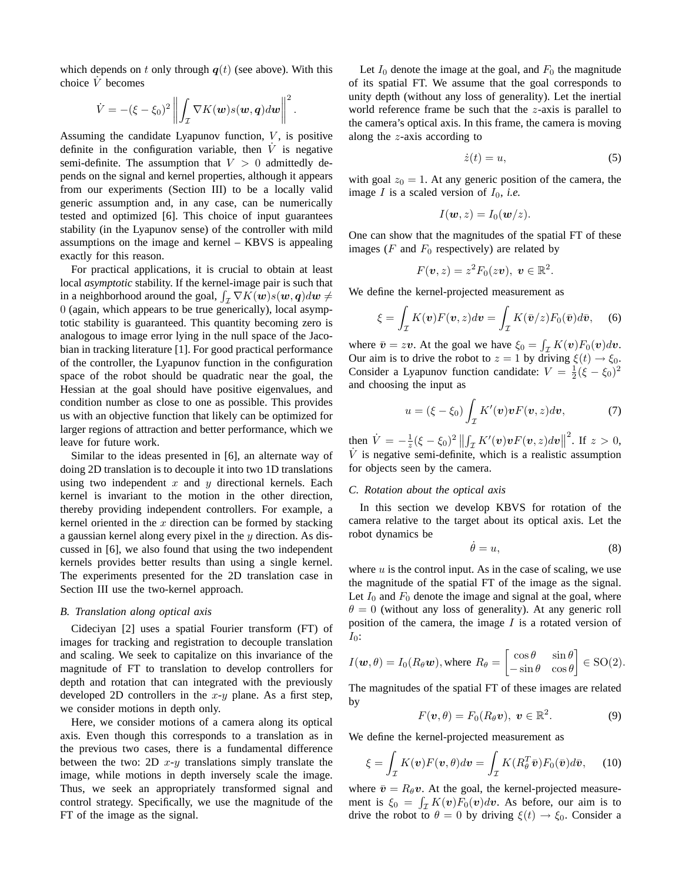which depends on t only through  $q(t)$  (see above). With this choice  $\dot{V}$  becomes

$$
\dot{V} = -(\xi - \xi_0)^2 \left\| \int_{\mathcal{I}} \nabla K(\boldsymbol{w}) s(\boldsymbol{w}, \boldsymbol{q}) d\boldsymbol{w} \right\|^2.
$$

Assuming the candidate Lyapunov function,  $V$ , is positive definite in the configuration variable, then  $\dot{V}$  is negative semi-definite. The assumption that  $V > 0$  admittedly depends on the signal and kernel properties, although it appears from our experiments (Section III) to be a locally valid generic assumption and, in any case, can be numerically tested and optimized [6]. This choice of input guarantees stability (in the Lyapunov sense) of the controller with mild assumptions on the image and kernel – KBVS is appealing exactly for this reason.

For practical applications, it is crucial to obtain at least local *asymptotic* stability. If the kernel-image pair is such that in a neighborhood around the goal,  $\int_{\mathcal{I}} \nabla K(\boldsymbol{w})s(\boldsymbol{w},\boldsymbol{q})d\boldsymbol{w}$   $\neq$ 0 (again, which appears to be true generically), local asymptotic stability is guaranteed. This quantity becoming zero is analogous to image error lying in the null space of the Jacobian in tracking literature [1]. For good practical performance of the controller, the Lyapunov function in the configuration space of the robot should be quadratic near the goal, the Hessian at the goal should have positive eigenvalues, and condition number as close to one as possible. This provides us with an objective function that likely can be optimized for larger regions of attraction and better performance, which we leave for future work.

Similar to the ideas presented in [6], an alternate way of doing 2D translation is to decouple it into two 1D translations using two independent  $x$  and  $y$  directional kernels. Each kernel is invariant to the motion in the other direction, thereby providing independent controllers. For example, a kernel oriented in the  $x$  direction can be formed by stacking a gaussian kernel along every pixel in the  $y$  direction. As discussed in [6], we also found that using the two independent kernels provides better results than using a single kernel. The experiments presented for the 2D translation case in Section III use the two-kernel approach.

# *B. Translation along optical axis*

Cideciyan [2] uses a spatial Fourier transform (FT) of images for tracking and registration to decouple translation and scaling. We seek to capitalize on this invariance of the magnitude of FT to translation to develop controllers for depth and rotation that can integrated with the previously developed 2D controllers in the  $x-y$  plane. As a first step, we consider motions in depth only.

Here, we consider motions of a camera along its optical axis. Even though this corresponds to a translation as in the previous two cases, there is a fundamental difference between the two: 2D  $x-y$  translations simply translate the image, while motions in depth inversely scale the image. Thus, we seek an appropriately transformed signal and control strategy. Specifically, we use the magnitude of the FT of the image as the signal.

Let  $I_0$  denote the image at the goal, and  $F_0$  the magnitude of its spatial FT. We assume that the goal corresponds to unity depth (without any loss of generality). Let the inertial world reference frame be such that the  $z$ -axis is parallel to the camera's optical axis. In this frame, the camera is moving along the z-axis according to

$$
\dot{z}(t) = u,\t\t(5)
$$

with goal  $z_0 = 1$ . At any generic position of the camera, the image  $I$  is a scaled version of  $I_0$ , *i.e.* 

$$
I(\boldsymbol{w},z)=I_0(\boldsymbol{w}/z).
$$

One can show that the magnitudes of the spatial FT of these images ( $F$  and  $F_0$  respectively) are related by

$$
F(\boldsymbol{v},z)=z^2F_0(z\boldsymbol{v}),\ \boldsymbol{v}\in\mathbb{R}^2.
$$

We define the kernel-projected measurement as

$$
\xi = \int_{\mathcal{I}} K(\boldsymbol{v}) F(\boldsymbol{v}, z) d\boldsymbol{v} = \int_{\mathcal{I}} K(\bar{\boldsymbol{v}}/z) F_0(\bar{\boldsymbol{v}}) d\bar{\boldsymbol{v}}, \quad (6)
$$

where  $\bar{v} = zv$ . At the goal we have  $\xi_0 = \int_{\mathcal{I}} K(v) F_0(v) dv$ . Our aim is to drive the robot to  $z = 1$  by driving  $\xi(t) \rightarrow \xi_0$ . Consider a Lyapunov function candidate:  $V = \frac{1}{2}(\xi - \xi_0)^2$ and choosing the input as

$$
u = (\xi - \xi_0) \int_{\mathcal{I}} K'(v) v F(v, z) dv, \tag{7}
$$

then  $V = -\frac{1}{z}(\xi - \xi_0)^2 ||\int_{\mathcal{I}} K'(v) v F(v, z) dv||$ <sup>2</sup>. If  $z > 0$ ,  $\dot{V}$  is negative semi-definite, which is a realistic assumption for objects seen by the camera.

# *C. Rotation about the optical axis*

In this section we develop KBVS for rotation of the camera relative to the target about its optical axis. Let the robot dynamics be

$$
\dot{\theta} = u,\tag{8}
$$

where  $u$  is the control input. As in the case of scaling, we use the magnitude of the spatial FT of the image as the signal. Let  $I_0$  and  $F_0$  denote the image and signal at the goal, where  $\theta = 0$  (without any loss of generality). At any generic roll position of the camera, the image  $I$  is a rotated version of  $I_0$ :

$$
I(\boldsymbol{w},\theta) = I_0(R_{\theta}\boldsymbol{w}), \text{ where } R_{\theta} = \begin{bmatrix} \cos \theta & \sin \theta \\ -\sin \theta & \cos \theta \end{bmatrix} \in SO(2).
$$

The magnitudes of the spatial FT of these images are related by

$$
F(\boldsymbol{v},\theta)=F_0(R_{\theta}\boldsymbol{v}),\ \boldsymbol{v}\in\mathbb{R}^2.
$$

We define the kernel-projected measurement as

$$
\xi = \int_{\mathcal{I}} K(\boldsymbol{v}) F(\boldsymbol{v}, \theta) d\boldsymbol{v} = \int_{\mathcal{I}} K(R_{\theta}^T \bar{\boldsymbol{v}}) F_0(\bar{\boldsymbol{v}}) d\bar{\boldsymbol{v}}, \quad (10)
$$

where  $\bar{v} = R_{\theta}v$ . At the goal, the kernel-projected measurement is  $\xi_0 = \int_{\mathcal{I}} K(v) F_0(v) dv$ . As before, our aim is to drive the robot to  $\theta = 0$  by driving  $\xi(t) \rightarrow \xi_0$ . Consider a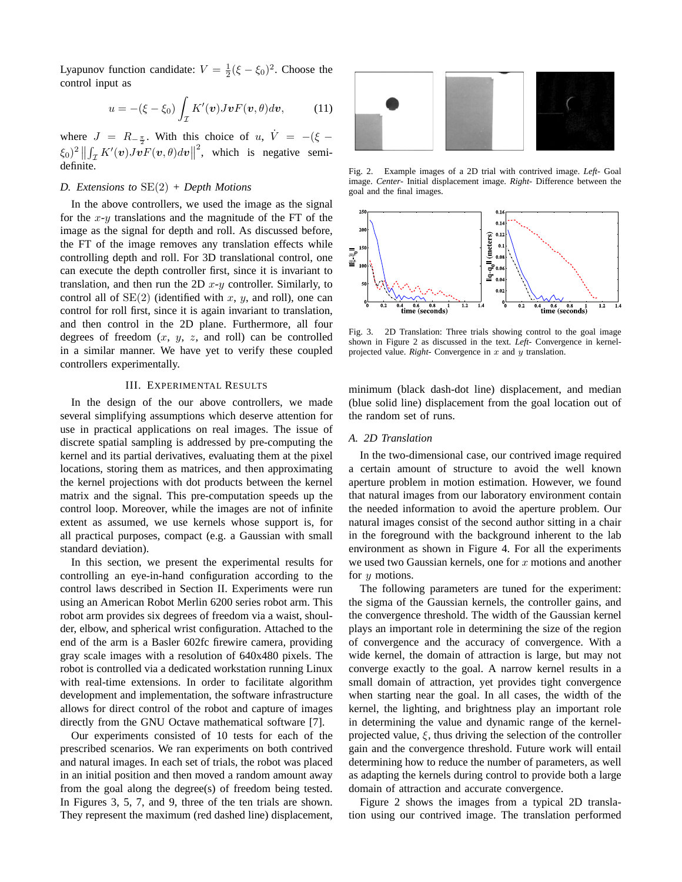Lyapunov function candidate:  $V = \frac{1}{2}(\xi - \xi_0)^2$ . Choose the control input as

$$
u = -(\xi - \xi_0) \int_{\mathcal{I}} K'(v) Jv F(v, \theta) dv, \qquad (11)
$$

where  $J = R_{-\frac{\pi}{2}}$ . With this choice of u,  $\dot{V} = -(\xi - \phi)$  $\int_{S_0}^{S_1} \int_{\mathcal{I}} K'(v)JvF(v,\theta)dv$  $2$ , which is negative semidefinite.

# *D. Extensions to* SE(2) *+ Depth Motions*

In the above controllers, we used the image as the signal for the  $x-y$  translations and the magnitude of the FT of the image as the signal for depth and roll. As discussed before, the FT of the image removes any translation effects while controlling depth and roll. For 3D translational control, one can execute the depth controller first, since it is invariant to translation, and then run the 2D  $x-y$  controller. Similarly, to control all of  $SE(2)$  (identified with x, y, and roll), one can control for roll first, since it is again invariant to translation, and then control in the 2D plane. Furthermore, all four degrees of freedom  $(x, y, z, \text{ and roll})$  can be controlled in a similar manner. We have yet to verify these coupled controllers experimentally.

#### III. EXPERIMENTAL RESULTS

In the design of the our above controllers, we made several simplifying assumptions which deserve attention for use in practical applications on real images. The issue of discrete spatial sampling is addressed by pre-computing the kernel and its partial derivatives, evaluating them at the pixel locations, storing them as matrices, and then approximating the kernel projections with dot products between the kernel matrix and the signal. This pre-computation speeds up the control loop. Moreover, while the images are not of infinite extent as assumed, we use kernels whose support is, for all practical purposes, compact (e.g. a Gaussian with small standard deviation).

In this section, we present the experimental results for controlling an eye-in-hand configuration according to the control laws described in Section II. Experiments were run using an American Robot Merlin 6200 series robot arm. This robot arm provides six degrees of freedom via a waist, shoulder, elbow, and spherical wrist configuration. Attached to the end of the arm is a Basler 602fc firewire camera, providing gray scale images with a resolution of 640x480 pixels. The robot is controlled via a dedicated workstation running Linux with real-time extensions. In order to facilitate algorithm development and implementation, the software infrastructure allows for direct control of the robot and capture of images directly from the GNU Octave mathematical software [7].

Our experiments consisted of 10 tests for each of the prescribed scenarios. We ran experiments on both contrived and natural images. In each set of trials, the robot was placed in an initial position and then moved a random amount away from the goal along the degree(s) of freedom being tested. In Figures 3, 5, 7, and 9, three of the ten trials are shown. They represent the maximum (red dashed line) displacement,



Fig. 2. Example images of a 2D trial with contrived image. *Left*- Goal image. *Center*- Initial displacement image. *Right*- Difference between the goal and the final images.



Fig. 3. 2D Translation: Three trials showing control to the goal image shown in Figure 2 as discussed in the text. *Left*- Convergence in kernelprojected value. *Right*- Convergence in x and y translation.

minimum (black dash-dot line) displacement, and median (blue solid line) displacement from the goal location out of the random set of runs.

# *A. 2D Translation*

In the two-dimensional case, our contrived image required a certain amount of structure to avoid the well known aperture problem in motion estimation. However, we found that natural images from our laboratory environment contain the needed information to avoid the aperture problem. Our natural images consist of the second author sitting in a chair in the foreground with the background inherent to the lab environment as shown in Figure 4. For all the experiments we used two Gaussian kernels, one for  $x$  motions and another for  $y$  motions.

The following parameters are tuned for the experiment: the sigma of the Gaussian kernels, the controller gains, and the convergence threshold. The width of the Gaussian kernel plays an important role in determining the size of the region of convergence and the accuracy of convergence. With a wide kernel, the domain of attraction is large, but may not converge exactly to the goal. A narrow kernel results in a small domain of attraction, yet provides tight convergence when starting near the goal. In all cases, the width of the kernel, the lighting, and brightness play an important role in determining the value and dynamic range of the kernelprojected value,  $\xi$ , thus driving the selection of the controller gain and the convergence threshold. Future work will entail determining how to reduce the number of parameters, as well as adapting the kernels during control to provide both a large domain of attraction and accurate convergence.

Figure 2 shows the images from a typical 2D translation using our contrived image. The translation performed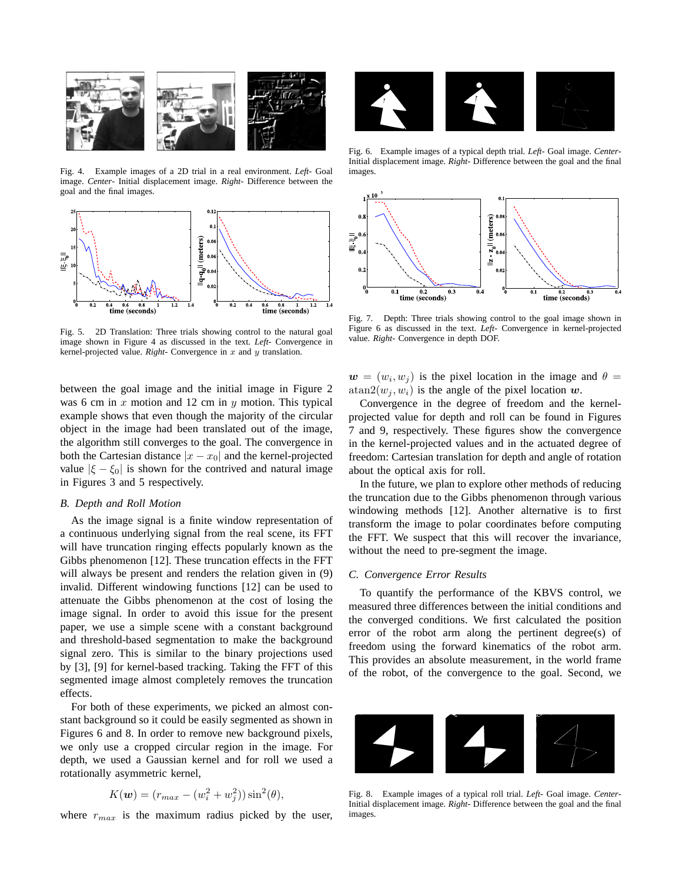

Fig. 4. Example images of a 2D trial in a real environment. *Left*- Goal image. *Center*- Initial displacement image. *Right*- Difference between the goal and the final images.



Fig. 5. 2D Translation: Three trials showing control to the natural goal image shown in Figure 4 as discussed in the text. *Left*- Convergence in kernel-projected value. *Right*- Convergence in x and y translation.

between the goal image and the initial image in Figure 2 was 6 cm in  $x$  motion and 12 cm in  $y$  motion. This typical example shows that even though the majority of the circular object in the image had been translated out of the image, the algorithm still converges to the goal. The convergence in both the Cartesian distance  $|x - x_0|$  and the kernel-projected value  $|\xi - \xi_0|$  is shown for the contrived and natural image in Figures 3 and 5 respectively.

# *B. Depth and Roll Motion*

As the image signal is a finite window representation of a continuous underlying signal from the real scene, its FFT will have truncation ringing effects popularly known as the Gibbs phenomenon [12]. These truncation effects in the FFT will always be present and renders the relation given in  $(9)$ invalid. Different windowing functions [12] can be used to attenuate the Gibbs phenomenon at the cost of losing the image signal. In order to avoid this issue for the present paper, we use a simple scene with a constant background and threshold-based segmentation to make the background signal zero. This is similar to the binary projections used by [3], [9] for kernel-based tracking. Taking the FFT of this segmented image almost completely removes the truncation effects.

For both of these experiments, we picked an almost constant background so it could be easily segmented as shown in Figures 6 and 8. In order to remove new background pixels, we only use a cropped circular region in the image. For depth, we used a Gaussian kernel and for roll we used a rotationally asymmetric kernel,

$$
K(\boldsymbol{w}) = (r_{max} - (w_i^2 + w_j^2))\sin^2(\theta),
$$

where  $r_{max}$  is the maximum radius picked by the user,



Fig. 6. Example images of a typical depth trial. *Left*- Goal image. *Center*-Initial displacement image. *Right*- Difference between the goal and the final images.



Fig. 7. Depth: Three trials showing control to the goal image shown in Figure 6 as discussed in the text. *Left*- Convergence in kernel-projected value. *Right*- Convergence in depth DOF.

 $\mathbf{w} = (w_i, w_j)$  is the pixel location in the image and  $\theta =$  $\text{atan2}(w_i, w_i)$  is the angle of the pixel location w.

Convergence in the degree of freedom and the kernelprojected value for depth and roll can be found in Figures 7 and 9, respectively. These figures show the convergence in the kernel-projected values and in the actuated degree of freedom: Cartesian translation for depth and angle of rotation about the optical axis for roll.

In the future, we plan to explore other methods of reducing the truncation due to the Gibbs phenomenon through various windowing methods [12]. Another alternative is to first transform the image to polar coordinates before computing the FFT. We suspect that this will recover the invariance, without the need to pre-segment the image.

#### *C. Convergence Error Results*

To quantify the performance of the KBVS control, we measured three differences between the initial conditions and the converged conditions. We first calculated the position error of the robot arm along the pertinent degree(s) of freedom using the forward kinematics of the robot arm. This provides an absolute measurement, in the world frame of the robot, of the convergence to the goal. Second, we



Fig. 8. Example images of a typical roll trial. *Left*- Goal image. *Center*-Initial displacement image. *Right*- Difference between the goal and the final images.